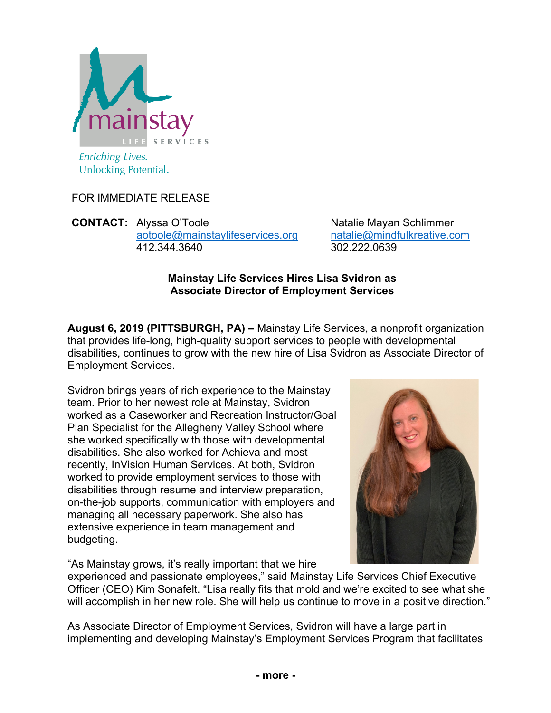

FOR IMMEDIATE RELEASE

**CONTACT:** Alyssa O'Toole Natalie Mayan Schlimmer aotoole@mainstaylifeservices.org natalie@mindfulkreative.com 412.344.3640 302.222.0639

## **Mainstay Life Services Hires Lisa Svidron as Associate Director of Employment Services**

**August 6, 2019 (PITTSBURGH, PA) –** Mainstay Life Services, a nonprofit organization that provides life-long, high-quality support services to people with developmental disabilities, continues to grow with the new hire of Lisa Svidron as Associate Director of Employment Services.

Svidron brings years of rich experience to the Mainstay team. Prior to her newest role at Mainstay, Svidron worked as a Caseworker and Recreation Instructor/Goal Plan Specialist for the Allegheny Valley School where she worked specifically with those with developmental disabilities. She also worked for Achieva and most recently, InVision Human Services. At both, Svidron worked to provide employment services to those with disabilities through resume and interview preparation, on-the-job supports, communication with employers and managing all necessary paperwork. She also has extensive experience in team management and budgeting.

"As Mainstay grows, it's really important that we hire



experienced and passionate employees," said Mainstay Life Services Chief Executive Officer (CEO) Kim Sonafelt. "Lisa really fits that mold and we're excited to see what she will accomplish in her new role. She will help us continue to move in a positive direction."

As Associate Director of Employment Services, Svidron will have a large part in implementing and developing Mainstay's Employment Services Program that facilitates